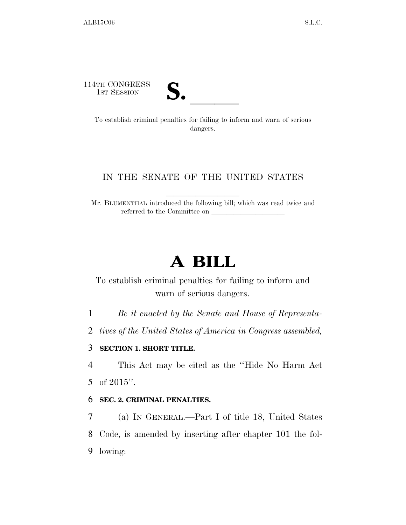114TH CONGRESS



TH CONGRESS<br>
1st Session<br>
To establish criminal penalties for failing to inform and warn of serious dangers.

### IN THE SENATE OF THE UNITED STATES

Mr. BLUMENTHAL introduced the following bill; which was read twice and referred to the Committee on

# **A BILL**

To establish criminal penalties for failing to inform and warn of serious dangers.

1 *Be it enacted by the Senate and House of Representa-*

2 *tives of the United States of America in Congress assembled,* 

### 3 **SECTION 1. SHORT TITLE.**

4 This Act may be cited as the ''Hide No Harm Act 5 of 2015''.

#### 6 **SEC. 2. CRIMINAL PENALTIES.**

7 (a) IN GENERAL.—Part I of title 18, United States 8 Code, is amended by inserting after chapter 101 the fol-9 lowing: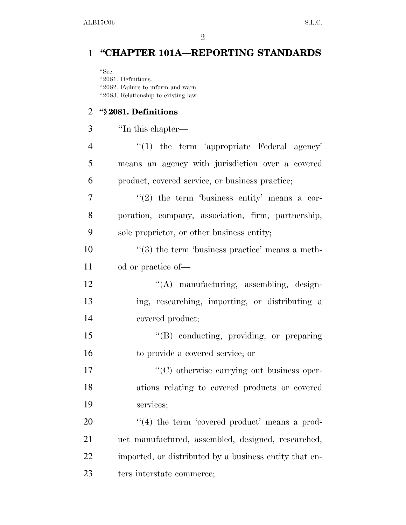## **''CHAPTER 101A—REPORTING STANDARDS**

''Sec. ''2081. Definitions. ''2082. Failure to inform and warn. ''2083. Relationship to existing law.

### **''§ 2081. Definitions**

''In this chapter—

| $\overline{4}$ | $\lq(1)$ the term 'appropriate Federal agency'              |
|----------------|-------------------------------------------------------------|
| 5              | means an agency with jurisdiction over a covered            |
| 6              | product, covered service, or business practice;             |
| 7              | $(2)$ the term 'business entity' means a cor-               |
| 8              | poration, company, association, firm, partnership,          |
| 9              | sole proprietor, or other business entity;                  |
| 10             | $\cdot\cdot$ (3) the term 'business practice' means a meth- |
| 11             | od or practice of-                                          |
| 12             | "(A) manufacturing, assembling, design-                     |
| 13             | ing, researching, importing, or distributing a              |
| 14             | covered product;                                            |
| 15             | "(B) conducting, providing, or preparing                    |
| 16             | to provide a covered service; or                            |
| 17             | "(C) otherwise carrying out business oper-                  |
| 18             | ations relating to covered products or covered              |
| 19             | services;                                                   |
| 20             | $\lq(4)$ the term 'covered product' means a prod-           |
| 21             | uct manufactured, assembled, designed, researched,          |
| 22             | imported, or distributed by a business entity that en-      |
| 23             | ters interstate commerce;                                   |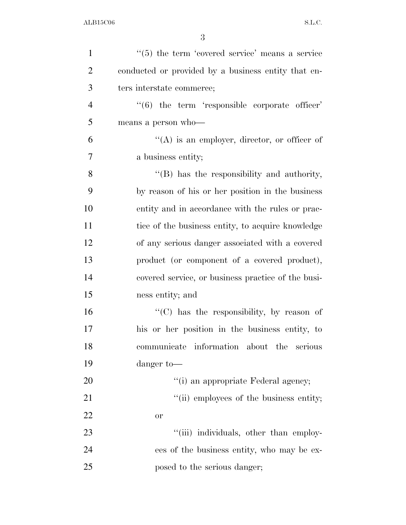| $\mathbf{1}$   | $\lq(5)$ the term 'covered service' means a service           |
|----------------|---------------------------------------------------------------|
| $\overline{2}$ | conducted or provided by a business entity that en-           |
| 3              | ters interstate commerce;                                     |
| $\overline{4}$ | $\cdot\cdot\cdot(6)$ the term 'responsible corporate officer' |
| 5              | means a person who-                                           |
| 6              | $\lq\lq$ is an employer, director, or officer of              |
| $\overline{7}$ | a business entity;                                            |
| 8              | $\lq\lq$ . Thus the responsibility and authority,             |
| 9              | by reason of his or her position in the business              |
| 10             | entity and in accordance with the rules or prac-              |
| 11             | tice of the business entity, to acquire knowledge             |
| 12             | of any serious danger associated with a covered               |
| 13             | product (or component of a covered product),                  |
| 14             | covered service, or business practice of the busi-            |
| 15             | ness entity; and                                              |
| 16             | "(C) has the responsibility, by reason of                     |
| 17             | his or her position in the business entity, to                |
| 18             | communicate information about the<br>serious                  |
| 19             | danger to-                                                    |
| 20             | "(i) an appropriate Federal agency;                           |
| 21             | "(ii) employees of the business entity;                       |
| 22             | <b>or</b>                                                     |
| 23             | "(iii) individuals, other than employ-                        |
| 24             | ees of the business entity, who may be ex-                    |
| 25             | posed to the serious danger;                                  |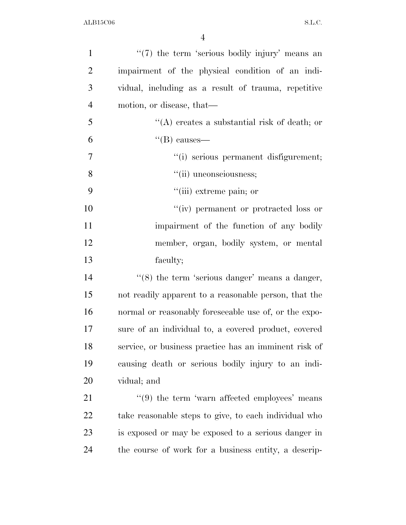| $\mathbf{1}$   | $\lq(7)$ the term 'serious bodily injury' means an            |
|----------------|---------------------------------------------------------------|
| $\overline{2}$ | impairment of the physical condition of an indi-              |
| 3              | vidual, including as a result of trauma, repetitive           |
| $\overline{4}$ | motion, or disease, that—                                     |
| 5              | "(A) creates a substantial risk of death; or                  |
| 6              | $\lq\lq(B)$ causes—                                           |
| $\overline{7}$ | "(i) serious permanent disfigurement;                         |
| 8              | "(ii) unconsciousness;                                        |
| 9              | "(iii) extreme pain; or                                       |
| 10             | "(iv) permanent or protracted loss or                         |
| 11             | impairment of the function of any bodily                      |
| 12             | member, organ, bodily system, or mental                       |
| 13             | faculty;                                                      |
| 14             | $\lq(8)$ the term 'serious danger' means a danger,            |
| 15             | not readily apparent to a reasonable person, that the         |
| 16             | normal or reasonably foreseeable use of, or the expo-         |
| 17             | sure of an individual to, a covered product, covered          |
| 18             | service, or business practice has an imminent risk of         |
| 19             | causing death or serious bodily injury to an indi-            |
| 20             | vidual; and                                                   |
| 21             | $\cdot\cdot\cdot(9)$ the term 'warn affected employees' means |
| 22             | take reasonable steps to give, to each individual who         |
|                |                                                               |
| 23             | is exposed or may be exposed to a serious danger in           |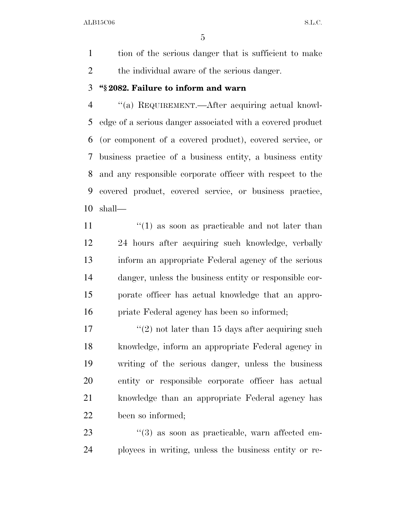tion of the serious danger that is sufficient to make the individual aware of the serious danger.

### **''§ 2082. Failure to inform and warn**

 ''(a) REQUIREMENT.—After acquiring actual knowl- edge of a serious danger associated with a covered product (or component of a covered product), covered service, or business practice of a business entity, a business entity and any responsible corporate officer with respect to the covered product, covered service, or business practice, shall—

 $\binom{11}{1}$  as soon as practicable and not later than 24 hours after acquiring such knowledge, verbally inform an appropriate Federal agency of the serious danger, unless the business entity or responsible cor- porate officer has actual knowledge that an appro-priate Federal agency has been so informed;

 $\frac{17}{2}$  not later than 15 days after acquiring such knowledge, inform an appropriate Federal agency in writing of the serious danger, unless the business entity or responsible corporate officer has actual knowledge than an appropriate Federal agency has been so informed;

23 ''(3) as soon as practicable, warn affected em-ployees in writing, unless the business entity or re-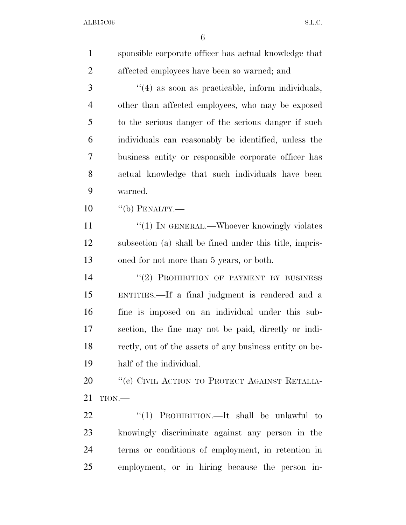| $\mathbf{1}$   | sponsible corporate officer has actual knowledge that   |
|----------------|---------------------------------------------------------|
| $\overline{2}$ | affected employees have been so warned; and             |
| 3              | $\cdot$ (4) as soon as practicable, inform individuals, |
| $\overline{4}$ | other than affected employees, who may be exposed       |
| 5              | to the serious danger of the serious danger if such     |
| 6              | individuals can reasonably be identified, unless the    |
| 7              | business entity or responsible corporate officer has    |
| 8              | actual knowledge that such individuals have been        |
| 9              | warned.                                                 |
| 10             | $``$ (b) PENALTY.—                                      |
| 11             | " $(1)$ IN GENERAL.—Whoever knowingly violates          |
| 12             | subsection (a) shall be fined under this title, impris- |
| 13             | oned for not more than 5 years, or both.                |
| 14             | "(2) PROHIBITION OF PAYMENT BY BUSINESS                 |
| 15             | ENTITIES.—If a final judgment is rendered and a         |
| 16             | fine is imposed on an individual under this sub-        |
| 17             | section, the fine may not be paid, directly or indi-    |
| 18             | rectly, out of the assets of any business entity on be- |
| 19             | half of the individual.                                 |
| 20             | "(c) CIVIL ACTION TO PROTECT AGAINST RETALIA-           |
| 21             | TION.                                                   |
| 22             | "(1) PROHIBITION.—It shall be unlawful to               |
| 23             | knowingly discriminate against any person in the        |
| 24             | terms or conditions of employment, in retention in      |
| 25             | employment, or in hiring because the person in-         |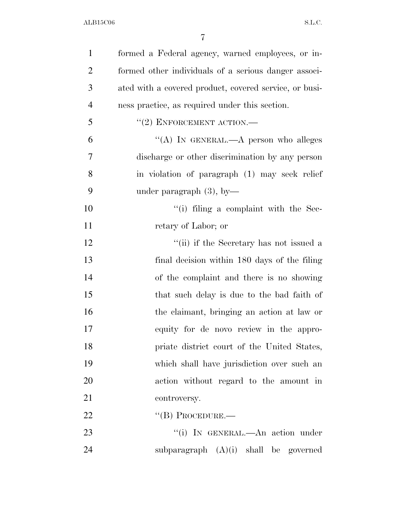| $\mathbf{1}$   | formed a Federal agency, warned employees, or in-      |
|----------------|--------------------------------------------------------|
| $\overline{2}$ | formed other individuals of a serious danger associ-   |
| 3              | ated with a covered product, covered service, or busi- |
| $\overline{4}$ | ness practice, as required under this section.         |
| 5              | $``(2)$ ENFORCEMENT ACTION.—                           |
| 6              | "(A) IN GENERAL.—A person who alleges                  |
| 7              | discharge or other discrimination by any person        |
| 8              | in violation of paragraph (1) may seek relief          |
| 9              | under paragraph $(3)$ , by-                            |
| 10             | $``(i)$ filing a complaint with the Sec-               |
| 11             | retary of Labor; or                                    |
| 12             | "(ii) if the Secretary has not issued a                |
| 13             | final decision within 180 days of the filing           |
| 14             | of the complaint and there is no showing               |
| 15             | that such delay is due to the bad faith of             |
| 16             | the claimant, bringing an action at law or             |
| 17             | equity for de novo review in the appro-                |
| 18             | priate district court of the United States,            |
| 19             | which shall have jurisdiction over such an             |
| 20             | action without regard to the amount in                 |
| 21             | controversy.                                           |
| 22             | $\lq\lq (B)$ PROCEDURE.—                               |
| 23             | "(i) IN GENERAL.—An action under                       |
| 24             | subparagraph $(A)(i)$ shall be governed                |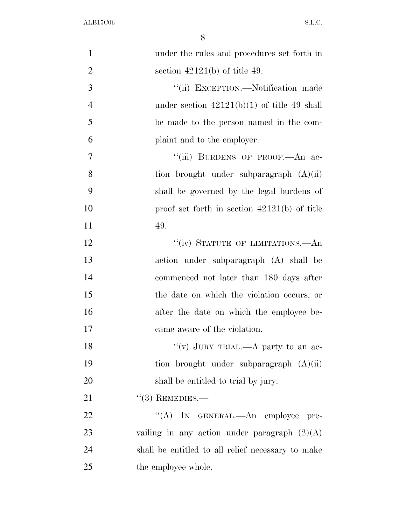| $\mathbf{1}$   | under the rules and procedures set forth in       |
|----------------|---------------------------------------------------|
| $\overline{2}$ | section $42121(b)$ of title 49.                   |
| 3              | "(ii) EXCEPTION.—Notification made                |
| $\overline{4}$ | under section $42121(b)(1)$ of title 49 shall     |
| 5              | be made to the person named in the com-           |
| 6              | plaint and to the employer.                       |
| $\overline{7}$ | "(iii) BURDENS OF PROOF.—An ac-                   |
| 8              | tion brought under subparagraph $(A)(ii)$         |
| 9              | shall be governed by the legal burdens of         |
| 10             | proof set forth in section $42121(b)$ of title    |
| 11             | 49.                                               |
| 12             | "(iv) STATUTE OF LIMITATIONS.—An                  |
| 13             | action under subparagraph (A) shall be            |
| 14             | commenced not later than 180 days after           |
| 15             | the date on which the violation occurs, or        |
| 16             | after the date on which the employee be-          |
| 17             | came aware of the violation.                      |
| 18             | "(v) JURY TRIAL.—A party to an ac-                |
| 19             | tion brought under subparagraph $(A)(ii)$         |
| 20             | shall be entitled to trial by jury.               |
| 21             | $(3)$ REMEDIES.—                                  |
| 22             | (4)<br>IN GENERAL.—An employee pre-               |
| 23             | vailing in any action under paragraph $(2)(A)$    |
| 24             | shall be entitled to all relief necessary to make |
| 25             | the employee whole.                               |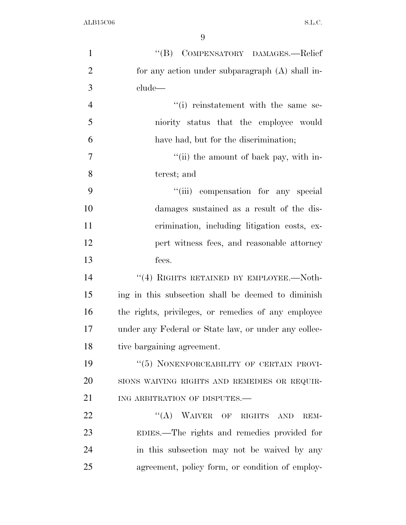| $\mathbf{1}$   | "(B) COMPENSATORY DAMAGES.-Relief                    |
|----------------|------------------------------------------------------|
| $\overline{2}$ | for any action under subparagraph (A) shall in-      |
| 3              | clude-                                               |
| $\overline{4}$ | "(i) reinstatement with the same se-                 |
| 5              | niority status that the employee would               |
| 6              | have had, but for the discrimination;                |
| $\overline{7}$ | "(ii) the amount of back pay, with in-               |
| 8              | terest; and                                          |
| 9              | "(iii) compensation for any special                  |
| 10             | damages sustained as a result of the dis-            |
| 11             | crimination, including litigation costs, ex-         |
| 12             | pert witness fees, and reasonable attorney           |
| 13             | fees.                                                |
| 14             | "(4) RIGHTS RETAINED BY EMPLOYEE.—Noth-              |
| 15             | ing in this subsection shall be deemed to diminish   |
| 16             | the rights, privileges, or remedies of any employee  |
| 17             | under any Federal or State law, or under any collec- |
| 18             | tive bargaining agreement.                           |
| 19             | "(5) NONENFORCEABILITY OF CERTAIN PROVI-             |
| 20             | SIONS WAIVING RIGHTS AND REMEDIES OR REQUIR-         |
| 21             | ING ARBITRATION OF DISPUTES.-                        |
| 22             | "(A) WAIVER OF RIGHTS AND<br>REM-                    |
| 23             | EDIES.—The rights and remedies provided for          |
| 24             | in this subsection may not be waived by any          |
| 25             | agreement, policy form, or condition of employ-      |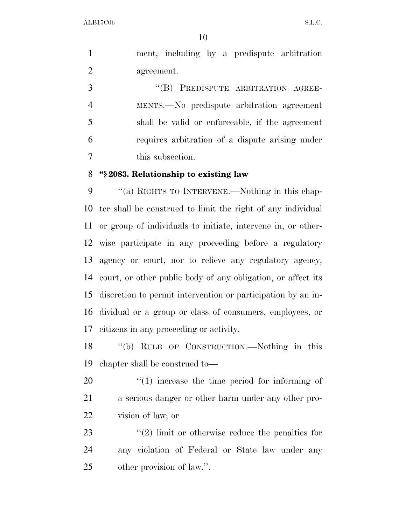ment, including by a predispute arbitration agreement.

3 "(B) PREDISPUTE ARBITRATION AGREE- MENTS.—No predispute arbitration agreement shall be valid or enforceable, if the agreement requires arbitration of a dispute arising under this subsection.

### **''§ 2083. Relationship to existing law**

9 ""(a) RIGHTS TO INTERVENE.—Nothing in this chap- ter shall be construed to limit the right of any individual or group of individuals to initiate, intervene in, or other- wise participate in any proceeding before a regulatory agency or court, nor to relieve any regulatory agency, court, or other public body of any obligation, or affect its discretion to permit intervention or participation by an in- dividual or a group or class of consumers, employees, or citizens in any proceeding or activity.

 ''(b) RULE OF CONSTRUCTION.—Nothing in this chapter shall be construed to—

20  $\frac{1}{20}$  (1) increase the time period for informing of a serious danger or other harm under any other pro-vision of law; or

23  $\frac{1}{2}$   $\frac{1}{2}$  limit or otherwise reduce the penalties for any violation of Federal or State law under any other provision of law.''.